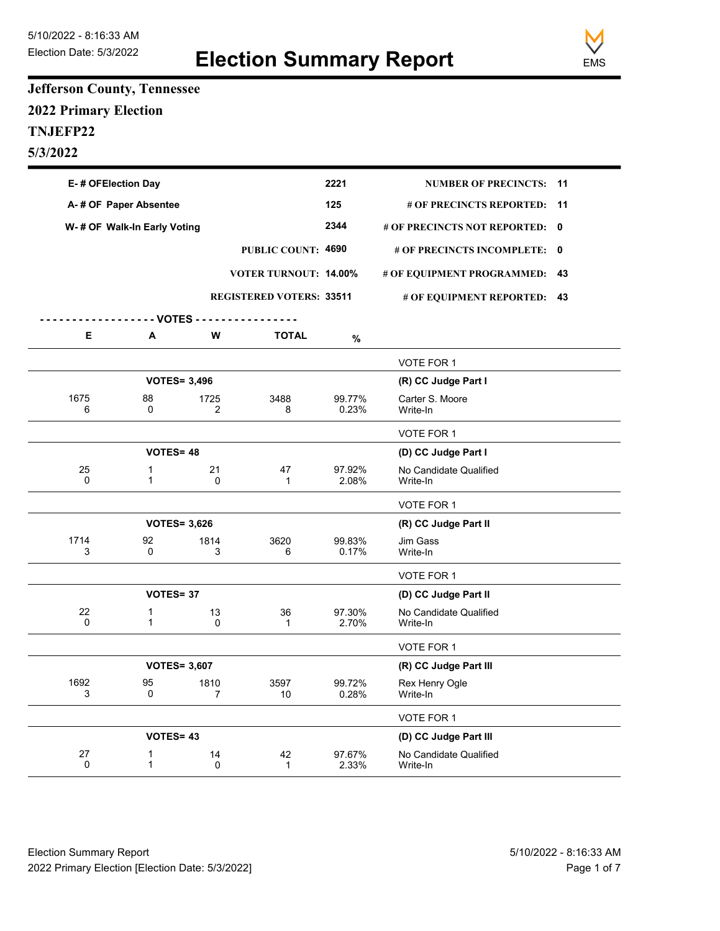

## **Jefferson County, Tennessee 2022 Primary Election TNJEFP22 5/3/2022**

| E-# OFElection Day           |                             |                                 |                              | 2221            | <b>NUMBER OF PRECINCTS:</b>        | - 11 |
|------------------------------|-----------------------------|---------------------------------|------------------------------|-----------------|------------------------------------|------|
| A-# OF Paper Absentee        |                             |                                 |                              | 125             | # OF PRECINCTS REPORTED:           | 11   |
| W- # OF Walk-In Early Voting |                             |                                 |                              | 2344            | # OF PRECINCTS NOT REPORTED: 0     |      |
|                              |                             |                                 | PUBLIC COUNT: 4690           |                 | # OF PRECINCTS INCOMPLETE: 0       |      |
|                              |                             |                                 | <b>VOTER TURNOUT: 14.00%</b> |                 | # OF EQUIPMENT PROGRAMMED:         | 43   |
|                              |                             | <b>REGISTERED VOTERS: 33511</b> |                              |                 | # OF EQUIPMENT REPORTED: 43        |      |
|                              |                             |                                 |                              |                 |                                    |      |
| Е                            | A                           | W                               | <b>TOTAL</b>                 | $\%$            |                                    |      |
|                              |                             |                                 |                              |                 | VOTE FOR 1                         |      |
|                              | <b>VOTES= 3,496</b>         |                                 |                              |                 | (R) CC Judge Part I                |      |
| 1675<br>6                    | 88<br>0                     | 1725<br>2                       | 3488<br>8                    | 99.77%<br>0.23% | Carter S. Moore<br>Write-In        |      |
|                              |                             |                                 |                              |                 | VOTE FOR 1                         |      |
|                              | <b>VOTES=48</b>             |                                 |                              |                 | (D) CC Judge Part I                |      |
| 25<br>0                      | $\mathbf 1$<br>$\mathbf{1}$ | 21<br>0                         | 47<br>$\mathbf{1}$           | 97.92%<br>2.08% | No Candidate Qualified<br>Write-In |      |
|                              |                             |                                 |                              |                 | VOTE FOR 1                         |      |
|                              | <b>VOTES= 3,626</b>         |                                 |                              |                 | (R) CC Judge Part II               |      |
| 1714<br>3                    | 92<br>0                     | 1814<br>3                       | 3620<br>6                    | 99.83%<br>0.17% | Jim Gass<br>Write-In               |      |
|                              |                             |                                 |                              |                 | VOTE FOR 1                         |      |
|                              | <b>VOTES=37</b>             |                                 |                              |                 | (D) CC Judge Part II               |      |
| 22<br>$\Omega$               | $\mathbf 1$<br>$\mathbf{1}$ | 13<br>0                         | 36<br>$\mathbf{1}$           | 97.30%<br>2.70% | No Candidate Qualified<br>Write-In |      |
|                              |                             |                                 |                              |                 | VOTE FOR 1                         |      |
|                              | <b>VOTES= 3,607</b>         |                                 |                              |                 | (R) CC Judge Part III              |      |
| 1692<br>3                    | 95<br>0                     | 1810<br>7                       | 3597<br>10                   | 99.72%<br>0.28% | Rex Henry Ogle<br>Write-In         |      |
|                              |                             |                                 |                              |                 | VOTE FOR 1                         |      |
|                              | <b>VOTES=43</b>             |                                 |                              |                 | (D) CC Judge Part III              |      |
| 27<br>0                      | 1<br>$\mathbf{1}$           | 14<br>0                         | 42<br>$\mathbf{1}$           | 97.67%<br>2.33% | No Candidate Qualified<br>Write-In |      |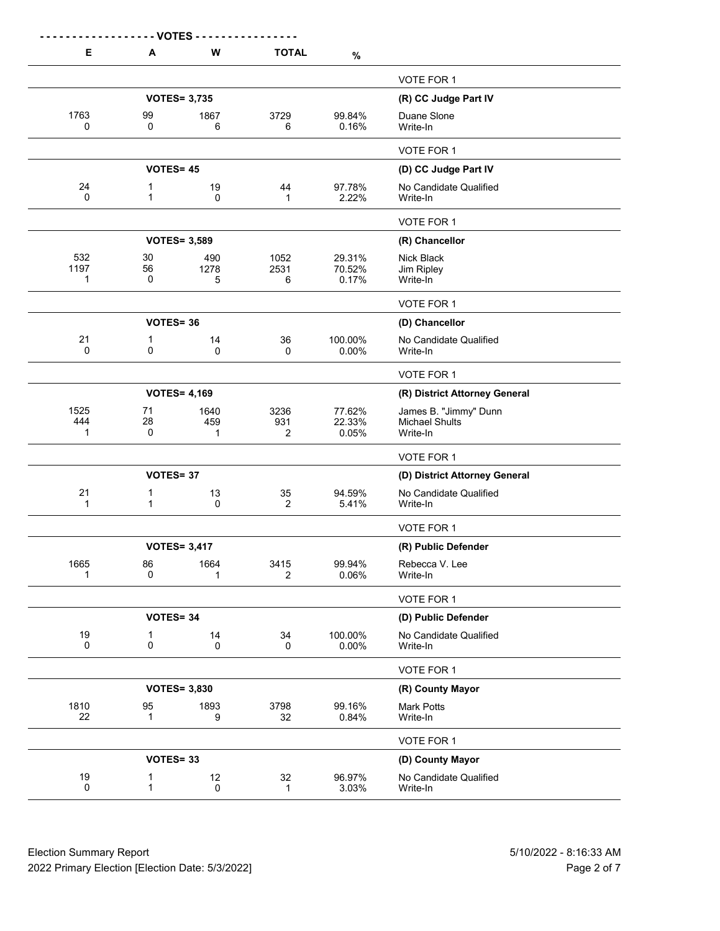| Е                          | - VOTES -<br>A    | W                   | <b>TOTAL</b>         | $\%$                      |                                                            |
|----------------------------|-------------------|---------------------|----------------------|---------------------------|------------------------------------------------------------|
|                            |                   |                     |                      |                           | <b>VOTE FOR 1</b>                                          |
|                            |                   | <b>VOTES= 3,735</b> |                      |                           | (R) CC Judge Part IV                                       |
| 1763<br>0                  | 99<br>0           | 1867<br>6           | 3729<br>6            | 99.84%<br>0.16%           | Duane Slone<br>Write-In                                    |
|                            |                   |                     |                      |                           | VOTE FOR 1                                                 |
|                            | <b>VOTES= 45</b>  |                     |                      |                           | (D) CC Judge Part IV                                       |
| 24<br>$\Omega$             | 1<br>$\mathbf{1}$ | 19<br>0             | 44<br>1              | 97.78%<br>2.22%           | No Candidate Qualified<br>Write-In                         |
|                            |                   |                     |                      |                           | VOTE FOR 1                                                 |
|                            |                   | <b>VOTES= 3,589</b> |                      |                           | (R) Chancellor                                             |
| 532<br>1197<br>-1          | 30<br>56<br>0     | 490<br>1278<br>5    | 1052<br>2531<br>6    | 29.31%<br>70.52%<br>0.17% | Nick Black<br>Jim Ripley<br>Write-In                       |
|                            |                   |                     |                      |                           | VOTE FOR 1                                                 |
|                            | <b>VOTES=36</b>   |                     |                      |                           | (D) Chancellor                                             |
| 21<br>$\mathbf{0}$         | 1<br>0            | 14<br>$\mathbf{0}$  | 36<br>0              | 100.00%<br>0.00%          | No Candidate Qualified<br>Write-In                         |
|                            |                   |                     |                      |                           | VOTE FOR 1                                                 |
|                            |                   | <b>VOTES= 4,169</b> |                      |                           | (R) District Attorney General                              |
| 1525<br>444<br>$\mathbf 1$ | 71<br>28<br>0     | 1640<br>459<br>1    | 3236<br>931<br>2     | 77.62%<br>22.33%<br>0.05% | James B. "Jimmy" Dunn<br><b>Michael Shults</b><br>Write-In |
|                            |                   |                     |                      |                           | VOTE FOR 1                                                 |
|                            | <b>VOTES=37</b>   |                     |                      |                           | (D) District Attorney General                              |
| 21<br>$\mathbf{1}$         | 1<br>$\mathbf{1}$ | 13<br>0             | 35<br>$\overline{2}$ | 94.59%<br>5.41%           | No Candidate Qualified<br>Write-In                         |
|                            |                   |                     |                      |                           | VOTE FOR 1                                                 |
|                            |                   | <b>VOTES= 3,417</b> |                      |                           | (R) Public Defender                                        |
| 1665<br>1                  | 86<br>0           | 1664<br>1           | 3415<br>2            | 99.94%<br>0.06%           | Rebecca V. Lee<br>Write-In                                 |
|                            |                   |                     |                      |                           | VOTE FOR 1                                                 |
|                            | <b>VOTES=34</b>   |                     |                      |                           | (D) Public Defender                                        |
| 19<br>$\mathbf 0$          | 1<br>0            | 14<br>0             | 34<br>0              | 100.00%<br>0.00%          | No Candidate Qualified<br>Write-In                         |
|                            |                   |                     |                      |                           | VOTE FOR 1                                                 |
|                            |                   | <b>VOTES= 3,830</b> |                      |                           | (R) County Mayor                                           |
| 1810<br>22                 | 95<br>$\mathbf 1$ | 1893<br>9           | 3798<br>32           | 99.16%<br>0.84%           | <b>Mark Potts</b><br>Write-In                              |
|                            |                   |                     |                      |                           | VOTE FOR 1                                                 |
|                            | <b>VOTES=33</b>   |                     |                      |                           | (D) County Mayor                                           |
| 19<br>0                    | 1<br>1            | 12<br>0             | 32<br>1              | 96.97%<br>3.03%           | No Candidate Qualified<br>Write-In                         |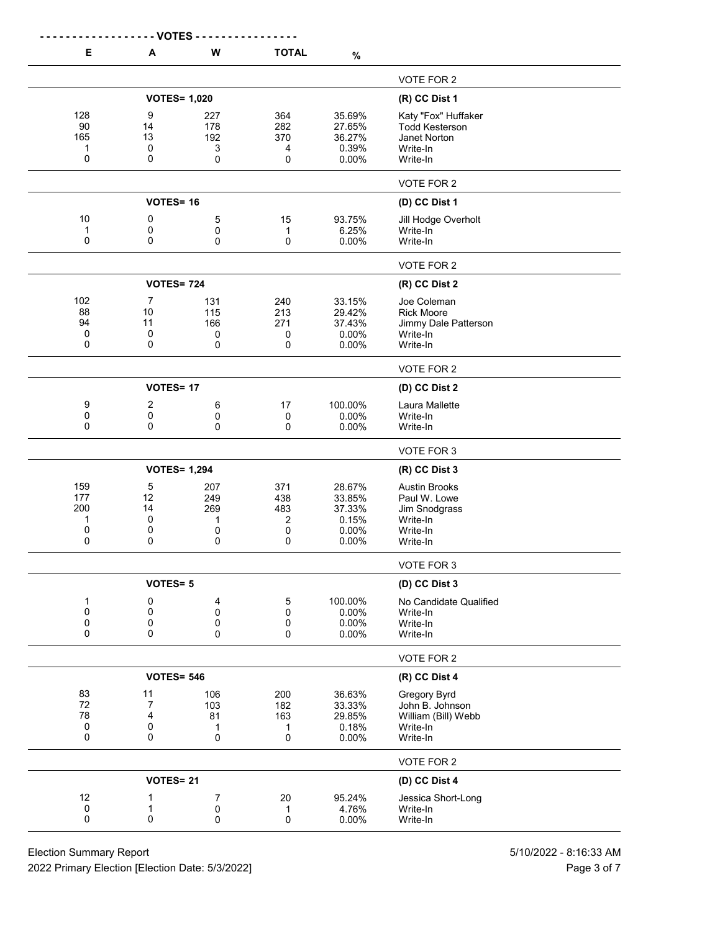|                                    | - VOTES -                            |                                  |                                  |                                                          |                                                                                           |
|------------------------------------|--------------------------------------|----------------------------------|----------------------------------|----------------------------------------------------------|-------------------------------------------------------------------------------------------|
| Е                                  | Α                                    | W                                | <b>TOTAL</b>                     | $\%$                                                     |                                                                                           |
|                                    |                                      |                                  |                                  |                                                          | VOTE FOR 2                                                                                |
|                                    | <b>VOTES= 1,020</b>                  |                                  |                                  |                                                          | (R) CC Dist 1                                                                             |
| 128<br>90<br>165<br>1<br>0         | 9<br>14<br>13<br>$\mathbf 0$<br>0    | 227<br>178<br>192<br>3<br>0      | 364<br>282<br>370<br>4<br>0      | 35.69%<br>27.65%<br>36.27%<br>0.39%<br>0.00%             | Katy "Fox" Huffaker<br><b>Todd Kesterson</b><br>Janet Norton<br>Write-In<br>Write-In      |
|                                    |                                      |                                  |                                  |                                                          | VOTE FOR 2                                                                                |
|                                    | <b>VOTES=16</b>                      |                                  |                                  |                                                          | (D) CC Dist 1                                                                             |
| 10<br>1<br>0                       | 0<br>0<br>0                          | 5<br>0<br>0                      | 15<br>1<br>0                     | 93.75%<br>6.25%<br>0.00%                                 | Jill Hodge Overholt<br>Write-In<br>Write-In                                               |
|                                    |                                      |                                  |                                  |                                                          | VOTE FOR 2                                                                                |
|                                    | <b>VOTES= 724</b>                    |                                  |                                  |                                                          | (R) CC Dist 2                                                                             |
| 102<br>88<br>94<br>0<br>0          | $\overline{7}$<br>10<br>11<br>0<br>0 | 131<br>115<br>166<br>0<br>0      | 240<br>213<br>271<br>0<br>0      | 33.15%<br>29.42%<br>37.43%<br>0.00%<br>0.00%             | Joe Coleman<br><b>Rick Moore</b><br>Jimmy Dale Patterson<br>Write-In<br>Write-In          |
|                                    |                                      |                                  |                                  |                                                          | VOTE FOR 2                                                                                |
|                                    | <b>VOTES=17</b>                      |                                  |                                  |                                                          | (D) CC Dist 2                                                                             |
| 9<br>0<br>0                        | 2<br>0<br>0                          | 6<br>0<br>0                      | 17<br>$\pmb{0}$<br>0             | 100.00%<br>0.00%<br>0.00%                                | Laura Mallette<br>Write-In<br>Write-In                                                    |
|                                    |                                      |                                  |                                  |                                                          | VOTE FOR 3                                                                                |
|                                    | <b>VOTES= 1,294</b>                  |                                  |                                  |                                                          | (R) CC Dist 3                                                                             |
| 159<br>177<br>200<br>1<br>0<br>0   | 5<br>12<br>14<br>0<br>0<br>0         | 207<br>249<br>269<br>1<br>0<br>0 | 371<br>438<br>483<br>2<br>0<br>0 | 28.67%<br>33.85%<br>37.33%<br>0.15%<br>0.00%<br>$0.00\%$ | <b>Austin Brooks</b><br>Paul W. Lowe<br>Jim Snodgrass<br>Write-In<br>Write-In<br>Write-In |
|                                    | <b>VOTES=5</b>                       |                                  |                                  |                                                          | VOTE FOR 3                                                                                |
| 1<br>0<br>0<br>0                   | 0<br>0<br>0<br>0                     | 4<br>0<br>0<br>0                 | 5<br>0<br>0<br>0                 | 100.00%<br>0.00%<br>0.00%<br>0.00%                       | (D) CC Dist 3<br>No Candidate Qualified<br>Write-In<br>Write-In<br>Write-In               |
|                                    |                                      |                                  |                                  |                                                          | VOTE FOR 2                                                                                |
|                                    | <b>VOTES= 546</b>                    |                                  |                                  |                                                          | (R) CC Dist 4                                                                             |
| 83<br>72<br>78<br>$\mathbf 0$<br>0 | 11<br>$\overline{7}$<br>4<br>0<br>0  | 106<br>103<br>81<br>1<br>0       | 200<br>182<br>163<br>1<br>0      | 36.63%<br>33.33%<br>29.85%<br>0.18%<br>0.00%             | Gregory Byrd<br>John B. Johnson<br>William (Bill) Webb<br>Write-In<br>Write-In            |
|                                    |                                      |                                  |                                  |                                                          | VOTE FOR 2                                                                                |
|                                    | VOTES=21                             |                                  |                                  |                                                          | (D) CC Dist 4                                                                             |
| 12<br>0<br>0                       | 1<br>1<br>0                          | 7<br>0<br>0                      | 20<br>1<br>0                     | 95.24%<br>4.76%<br>0.00%                                 | Jessica Short-Long<br>Write-In<br>Write-In                                                |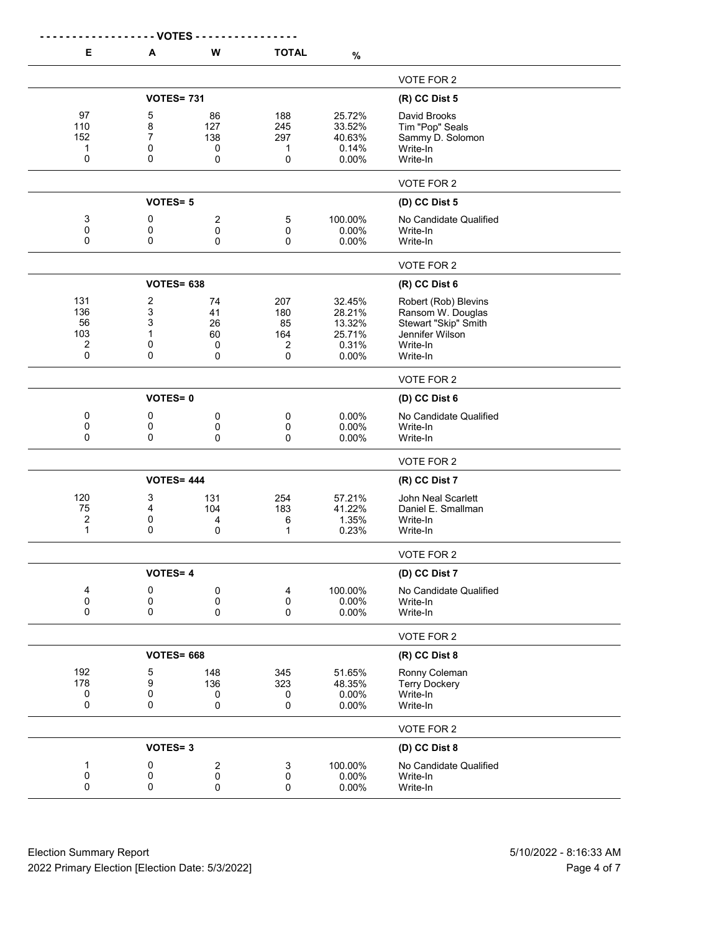| Е              | A                 | W              | <b>TOTAL</b> | $\%$     |                        |
|----------------|-------------------|----------------|--------------|----------|------------------------|
|                |                   |                |              |          | VOTE FOR 2             |
|                | <b>VOTES= 731</b> |                |              |          | (R) CC Dist 5          |
| 97             | 5                 | 86             | 188          | 25.72%   | David Brooks           |
| 110            | 8                 | 127            | 245          | 33.52%   | Tim "Pop" Seals        |
| 152            | $\overline{7}$    | 138            | 297          | 40.63%   | Sammy D. Solomon       |
| 1              | 0                 | 0              | 1            | 0.14%    | Write-In               |
| 0              | 0                 | 0              | 0            | 0.00%    | Write-In               |
|                |                   |                |              |          | VOTE FOR 2             |
|                | <b>VOTES=5</b>    |                |              |          | (D) CC Dist 5          |
| 3              | 0                 | $\overline{c}$ | 5            | 100.00%  | No Candidate Qualified |
| 0              | 0                 | 0              | 0            | 0.00%    | Write-In               |
| 0              | 0                 | 0              | 0            | 0.00%    | Write-In               |
|                |                   |                |              |          | VOTE FOR 2             |
|                | <b>VOTES= 638</b> |                |              |          | (R) CC Dist 6          |
| 131            | 2                 | 74             | 207          | 32.45%   | Robert (Rob) Blevins   |
| 136            | 3                 | 41             | 180          | 28.21%   | Ransom W. Douglas      |
| 56             | 3                 | 26             | 85           | 13.32%   | Stewart "Skip" Smith   |
| 103            | 1                 | 60             | 164          | 25.71%   | Jennifer Wilson        |
| 2              | 0                 | 0              | 2            | 0.31%    | Write-In               |
| 0              | 0                 | $\mathbf 0$    | 0            | 0.00%    | Write-In               |
|                |                   |                |              |          | VOTE FOR 2             |
|                | <b>VOTES=0</b>    |                |              |          | (D) CC Dist 6          |
| 0              | 0                 | 0              | 0            | 0.00%    | No Candidate Qualified |
| 0              | 0                 | 0              | 0            | 0.00%    | Write-In               |
| 0              | 0                 | $\pmb{0}$      | 0            | 0.00%    | Write-In               |
|                |                   |                |              |          | VOTE FOR 2             |
|                | <b>VOTES= 444</b> |                |              |          | (R) CC Dist 7          |
| 120            | 3                 | 131            | 254          | 57.21%   | John Neal Scarlett     |
| 75             | 4                 | 104            | 183          | 41.22%   | Daniel E. Smallman     |
| $\overline{2}$ | 0                 | 4              | 6            | 1.35%    | Write-In               |
| $\mathbf{1}$   | 0                 | 0              | 1            | 0.23%    | Write-In               |
|                |                   |                |              |          | VOTE FOR 2             |
|                | <b>VOTES=4</b>    |                |              |          | (D) CC Dist 7          |
| 4              | 0                 | $\pmb{0}$      | 4            | 100.00%  | No Candidate Qualified |
| 0              | 0                 | 0              | 0            | 0.00%    | Write-In               |
| 0              | 0                 | 0              | 0            | 0.00%    | Write-In               |
|                |                   |                |              |          | VOTE FOR 2             |
|                | <b>VOTES= 668</b> |                |              |          | (R) CC Dist 8          |
| 192            | 5                 | 148            | 345          | 51.65%   | Ronny Coleman          |
| 178            | 9                 | 136            | 323          | 48.35%   | <b>Terry Dockery</b>   |
| 0              | 0                 | 0              | 0            | 0.00%    | Write-In               |
| 0              | 0                 | $\pmb{0}$      | 0            | 0.00%    | Write-In               |
|                |                   |                |              |          | VOTE FOR 2             |
|                | <b>VOTES=3</b>    |                |              |          | (D) CC Dist 8          |
| 1              | 0                 | 2              | 3            | 100.00%  | No Candidate Qualified |
| 0              | 0                 | $\pmb{0}$      | 0            | $0.00\%$ | Write-In               |
| 0              | 0                 | 0              | 0            | $0.00\%$ | Write-In               |

Election Summary Report 5/10/2022 - 8:16:33 AM 2022 Primary Election [Election Date: 5/3/2022] Page 4 of 7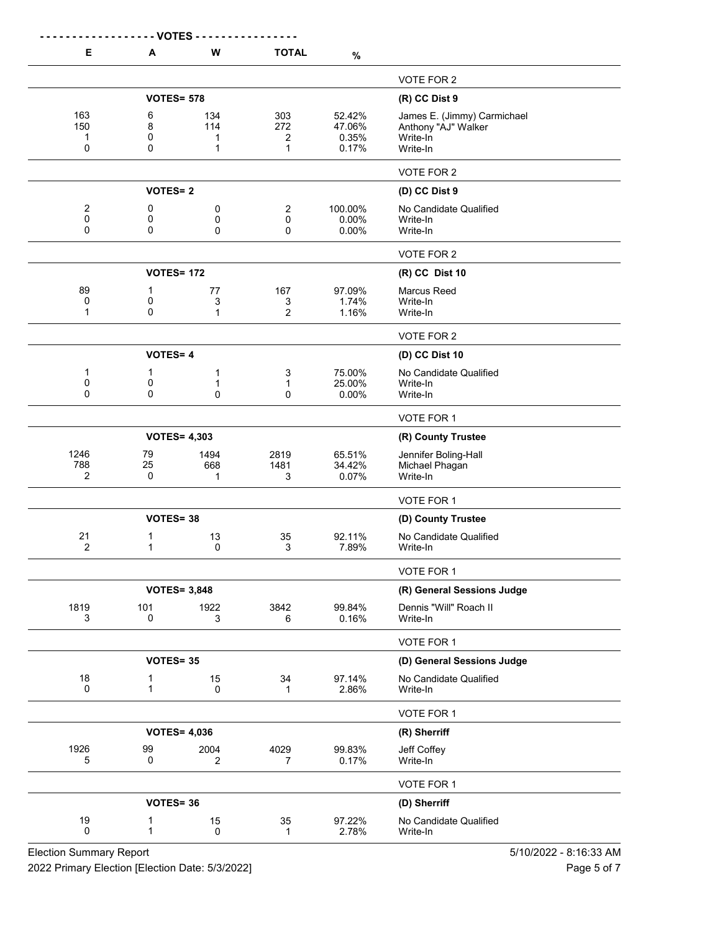|                      | - VOTES -         |                     |                |                 |                                    |
|----------------------|-------------------|---------------------|----------------|-----------------|------------------------------------|
| Е                    | A                 | W                   | <b>TOTAL</b>   | $\%$            |                                    |
|                      |                   |                     |                |                 | VOTE FOR 2                         |
|                      | <b>VOTES= 578</b> |                     |                |                 | $(R)$ CC Dist 9                    |
| 163                  | 6                 | 134                 | 303            | 52.42%          | James E. (Jimmy) Carmichael        |
| 150<br>-1            | 8<br>0            | 114<br>1            | 272<br>2       | 47.06%<br>0.35% | Anthony "AJ" Walker<br>Write-In    |
| 0                    | 0                 | 1                   | 1              | 0.17%           | Write-In                           |
|                      |                   |                     |                |                 | VOTE FOR 2                         |
|                      | <b>VOTES=2</b>    |                     |                |                 | (D) CC Dist 9                      |
| $\overline{c}$       | 0                 | 0                   | 2              | 100.00%         | No Candidate Qualified             |
| 0<br>0               | 0<br>0            | 0<br>0              | 0<br>0         | 0.00%<br>0.00%  | Write-In<br>Write-In               |
|                      |                   |                     |                |                 | VOTE FOR 2                         |
|                      | <b>VOTES= 172</b> |                     |                |                 | (R) CC Dist 10                     |
| 89                   | 1                 | 77                  | 167            | 97.09%          | <b>Marcus Reed</b>                 |
| 0                    | 0                 | 3                   | 3              | 1.74%           | Write-In                           |
| 1                    | 0                 | 1                   | 2              | 1.16%           | Write-In                           |
|                      |                   |                     |                |                 | VOTE FOR 2                         |
|                      | <b>VOTES=4</b>    |                     |                |                 | (D) CC Dist 10                     |
| -1                   | 1                 | 1                   | 3              | 75.00%          | No Candidate Qualified             |
| 0<br>0               | 0<br>0            | 1<br>0              | 1<br>0         | 25.00%<br>0.00% | Write-In<br>Write-In               |
|                      |                   |                     |                |                 | VOTE FOR 1                         |
|                      |                   | <b>VOTES= 4,303</b> |                |                 | (R) County Trustee                 |
| 1246                 | 79                | 1494                | 2819           | 65.51%          | Jennifer Boling-Hall               |
| 788                  | 25                | 668                 | 1481           | 34.42%          | Michael Phagan                     |
| $\overline{2}$       | 0                 | 1                   | 3              | 0.07%           | Write-In                           |
|                      |                   |                     |                |                 | VOTE FOR 1                         |
|                      | VOTES=38          |                     |                |                 | (D) County Trustee                 |
| 21<br>$\overline{2}$ | 1<br>1            | 13<br>$\mathbf 0$   | 35<br>3        | 92.11%<br>7.89% | No Candidate Qualified<br>Write-In |
|                      |                   |                     |                |                 |                                    |
|                      |                   |                     |                |                 | VOTE FOR 1                         |
|                      |                   | <b>VOTES= 3,848</b> |                |                 | (R) General Sessions Judge         |
| 1819<br>3            | 101<br>0          | 1922<br>3           | 3842<br>6      | 99.84%<br>0.16% | Dennis "Will" Roach II<br>Write-In |
|                      |                   |                     |                |                 |                                    |
|                      | <b>VOTES=35</b>   |                     |                |                 | VOTE FOR 1                         |
| 18                   |                   |                     |                |                 | (D) General Sessions Judge         |
| $\mathbf 0$          | 1<br>1            | 15<br>0             | 34<br>1        | 97.14%<br>2.86% | No Candidate Qualified<br>Write-In |
|                      |                   |                     |                |                 | VOTE FOR 1                         |
|                      |                   | <b>VOTES= 4,036</b> |                |                 | (R) Sherriff                       |
| 1926                 | 99                | 2004                | 4029           | 99.83%          | Jeff Coffey                        |
| 5                    | 0                 | $\overline{2}$      | $\overline{7}$ | 0.17%           | Write-In                           |
|                      |                   |                     |                |                 | VOTE FOR 1                         |
|                      | <b>VOTES=36</b>   |                     |                |                 | (D) Sherriff                       |
| 19                   | 1                 | 15                  | 35             | 97.22%          | No Candidate Qualified             |
| 0                    | 1                 | 0                   | 1              | 2.78%           | Write-In                           |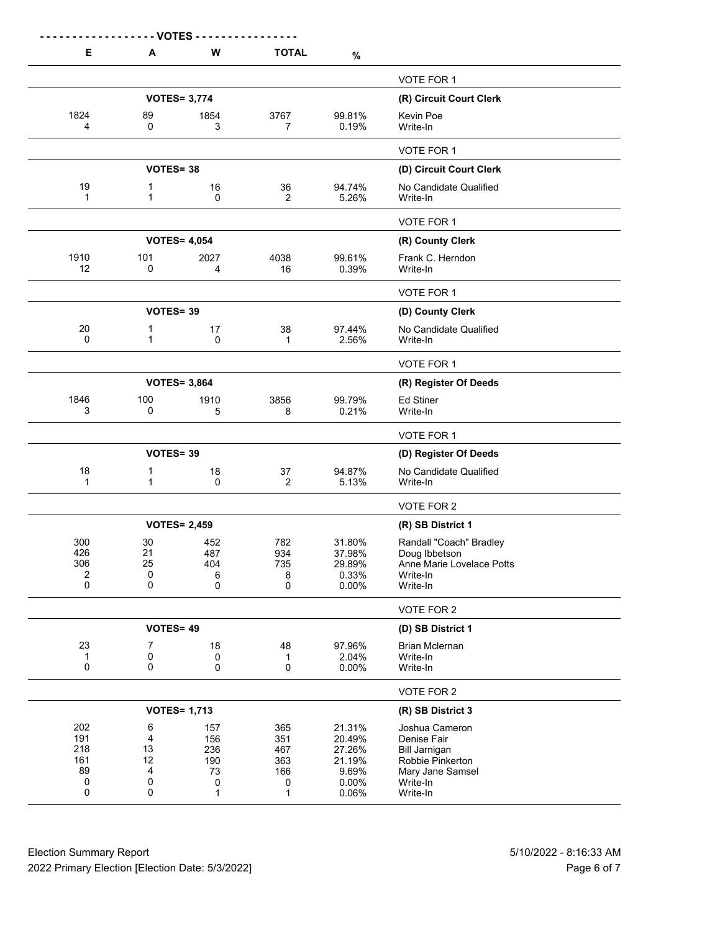|                                          | - VOTES -                                   |                                          |                                           |                                                                 |                                                                                                                       |
|------------------------------------------|---------------------------------------------|------------------------------------------|-------------------------------------------|-----------------------------------------------------------------|-----------------------------------------------------------------------------------------------------------------------|
| Е                                        | A                                           | W                                        | <b>TOTAL</b>                              | $\%$                                                            |                                                                                                                       |
|                                          |                                             |                                          |                                           |                                                                 | VOTE FOR 1                                                                                                            |
|                                          |                                             | <b>VOTES= 3,774</b>                      |                                           |                                                                 | (R) Circuit Court Clerk                                                                                               |
| 1824<br>4                                | 89<br>0                                     | 1854<br>3                                | 3767<br>7                                 | 99.81%<br>0.19%                                                 | Kevin Poe<br>Write-In                                                                                                 |
|                                          |                                             |                                          |                                           |                                                                 | VOTE FOR 1                                                                                                            |
|                                          | VOTES=38                                    |                                          |                                           |                                                                 | (D) Circuit Court Clerk                                                                                               |
| 19<br>1                                  | 1<br>1                                      | 16<br>0                                  | 36<br>$\overline{2}$                      | 94.74%<br>5.26%                                                 | No Candidate Qualified<br>Write-In                                                                                    |
|                                          |                                             |                                          |                                           |                                                                 | VOTE FOR 1                                                                                                            |
|                                          |                                             | <b>VOTES= 4,054</b>                      |                                           |                                                                 | (R) County Clerk                                                                                                      |
| 1910<br>12                               | 101<br>0                                    | 2027<br>4                                | 4038<br>16                                | 99.61%<br>0.39%                                                 | Frank C. Herndon<br>Write-In                                                                                          |
|                                          |                                             |                                          |                                           |                                                                 | VOTE FOR 1                                                                                                            |
|                                          | VOTES=39                                    |                                          |                                           |                                                                 | (D) County Clerk                                                                                                      |
| 20<br>$\mathbf{0}$                       | $\mathbf 1$<br>1                            | 17<br>0                                  | 38<br>1                                   | 97.44%<br>2.56%                                                 | No Candidate Qualified<br>Write-In                                                                                    |
|                                          |                                             |                                          |                                           |                                                                 | VOTE FOR 1                                                                                                            |
|                                          |                                             | <b>VOTES= 3,864</b>                      |                                           |                                                                 | (R) Register Of Deeds                                                                                                 |
| 1846<br>3                                | 100<br>0                                    | 1910<br>5                                | 3856<br>8                                 | 99.79%<br>0.21%                                                 | <b>Ed Stiner</b><br>Write-In                                                                                          |
|                                          |                                             |                                          |                                           |                                                                 | VOTE FOR 1                                                                                                            |
|                                          | VOTES=39                                    |                                          |                                           |                                                                 | (D) Register Of Deeds                                                                                                 |
| 18<br>$\mathbf{1}$                       | $\mathbf 1$<br>1                            | 18<br>0                                  | 37<br>$\overline{2}$                      | 94.87%<br>5.13%                                                 | No Candidate Qualified<br>Write-In                                                                                    |
|                                          |                                             |                                          |                                           |                                                                 | VOTE FOR 2                                                                                                            |
|                                          |                                             | <b>VOTES= 2,459</b>                      |                                           |                                                                 | (R) SB District 1                                                                                                     |
| 300<br>426<br>306<br>$\overline{2}$<br>0 | 30<br>21<br>25<br>0<br>0                    | 452<br>487<br>404<br>6<br>0              | 782<br>934<br>735<br>8<br>$\mathbf 0$     | 31.80%<br>37.98%<br>29.89%<br>0.33%<br>0.00%                    | Randall "Coach" Bradley<br>Doug Ibbetson<br>Anne Marie Lovelace Potts<br>Write-In<br>Write-In                         |
|                                          |                                             |                                          |                                           |                                                                 | VOTE FOR 2                                                                                                            |
|                                          | VOTES=49                                    |                                          |                                           |                                                                 | (D) SB District 1                                                                                                     |
| 23<br>1<br>$\mathbf 0$                   | 7<br>0<br>0                                 | 18<br>0<br>0                             | 48<br>1<br>0                              | 97.96%<br>2.04%<br>0.00%                                        | Brian Mclernan<br>Write-In<br>Write-In                                                                                |
|                                          |                                             |                                          |                                           |                                                                 | VOTE FOR 2                                                                                                            |
|                                          |                                             | <b>VOTES= 1,713</b>                      |                                           |                                                                 | (R) SB District 3                                                                                                     |
| 202<br>191<br>218<br>161<br>89<br>0<br>0 | 6<br>4<br>13<br>12<br>4<br>0<br>$\mathbf 0$ | 157<br>156<br>236<br>190<br>73<br>0<br>1 | 365<br>351<br>467<br>363<br>166<br>0<br>1 | 21.31%<br>20.49%<br>27.26%<br>21.19%<br>9.69%<br>0.00%<br>0.06% | Joshua Cameron<br>Denise Fair<br><b>Bill Jarnigan</b><br>Robbie Pinkerton<br>Mary Jane Samsel<br>Write-In<br>Write-In |

Election Summary Report 5/10/2022 - 8:16:33 AM 2022 Primary Election [Election Date: 5/3/2022] **Page 6 of 7** and 2022 Primary Election [Election Date: 5/3/2022]